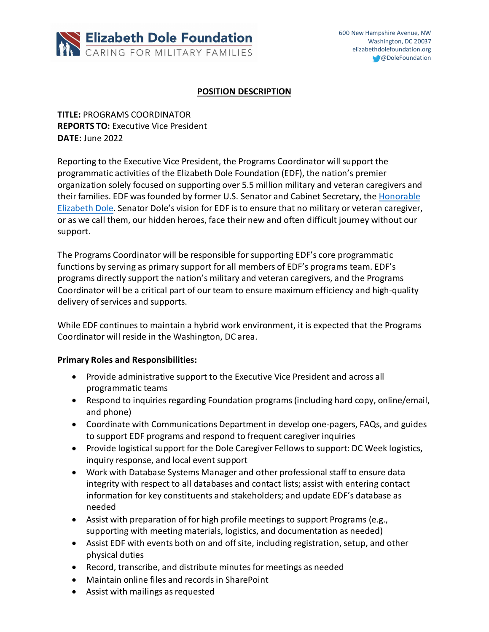

### **POSITION DESCRIPTION**

**TITLE:** PROGRAMS COORDINATOR **REPORTS TO:** Executive Vice President **DATE:** June 2022

Reporting to the Executive Vice President, the Programs Coordinator will support the programmatic activities of the Elizabeth Dole Foundation (EDF), the nation's premier organization solely focused on supporting over 5.5 million military and veteran caregivers and their families. EDF was founded by former U.S. Senator and Cabinet Secretary, the Honorable Elizabeth Dole. Senator Dole's vision for EDF is to ensure that no military or veteran caregiver, or as we call them, our hidden heroes, face their new and often difficult journey without our support.

The Programs Coordinator will be responsible for supporting EDF's core programmatic functions by serving as primary support for all members of EDF's programs team. EDF's programs directly support the nation's military and veteran caregivers, and the Programs Coordinator will be a critical part of our team to ensure maximum efficiency and high-quality delivery of services and supports.

While EDF continues to maintain a hybrid work environment, it is expected that the Programs Coordinator will reside in the Washington, DC area.

### **Primary Roles and Responsibilities:**

- Provide administrative support to the Executive Vice President and across all programmatic teams
- Respond to inquiries regarding Foundation programs (including hard copy, online/email, and phone)
- Coordinate with Communications Department in develop one-pagers, FAQs, and guides to support EDF programs and respond to frequent caregiver inquiries
- Provide logistical support for the Dole Caregiver Fellows to support: DC Week logistics, inquiry response, and local event support
- Work with Database Systems Manager and other professional staff to ensure data integrity with respect to all databases and contact lists; assist with entering contact information for key constituents and stakeholders; and update EDF's database as needed
- Assist with preparation of for high profile meetings to support Programs (e.g., supporting with meeting materials, logistics, and documentation as needed)
- Assist EDF with events both on and off site, including registration, setup, and other physical duties
- Record, transcribe, and distribute minutes for meetings as needed
- Maintain online files and records in SharePoint
- Assist with mailings as requested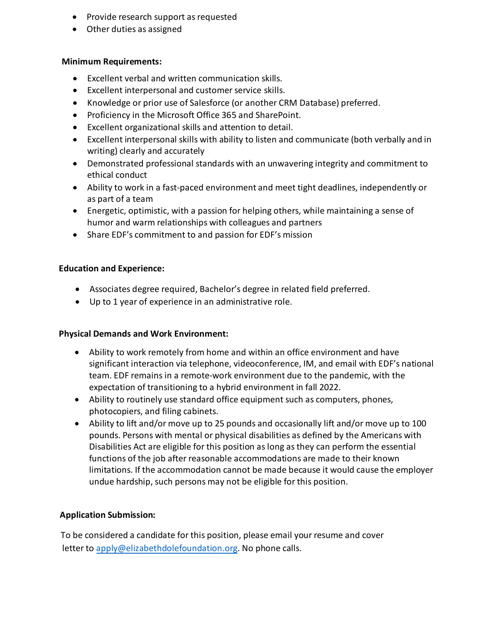- Provide research support as requested
- Other duties as assigned

### **Minimum Requirements:**

- Excellent verbal and written communication skills.
- Excellent interpersonal and customer service skills.
- Knowledge or prior use of Salesforce (or another CRM Database) preferred.
- Proficiency in the Microsoft Office 365 and SharePoint.
- Excellent organizational skills and attention to detail.
- Excellent interpersonal skills with ability to listen and communicate (both verbally and in writing) clearly and accurately
- Demonstrated professional standards with an unwavering integrity and commitment to ethical conduct
- Ability to work in a fast-paced environment and meet tight deadlines, independently or as part of a team
- Energetic, optimistic, with a passion for helping others, while maintaining a sense of humor and warm relationships with colleagues and partners
- Share EDF's commitment to and passion for EDF's mission

## **Education and Experience:**

- Associates degree required, Bachelor's degree in related field preferred.
- Up to 1 year of experience in an administrative role.

# **Physical Demands and Work Environment:**

- Ability to work remotely from home and within an office environment and have significant interaction via telephone, videoconference, IM, and email with EDF's national team. EDF remains in a remote-work environment due to the pandemic, with the expectation of transitioning to a hybrid environment in fall 2022.
- Ability to routinely use standard office equipment such as computers, phones, photocopiers, and filing cabinets.
- Ability to lift and/or move up to 25 pounds and occasionally lift and/or move up to 100 pounds. Persons with mental or physical disabilities as defined by the Americans with Disabilities Act are eligible for this position as long as they can perform the essential functions of the job after reasonable accommodations are made to their known limitations. If the accommodation cannot be made because it would cause the employer undue hardship, such persons may not be eligible for this position.

# **Application Submission:**

To be considered a candidate for this position, please email your resume and cover letter to [apply@elizabethdolefoundation.org.](mailto:jobs@elizabethdolefoundation.org) No phone calls.